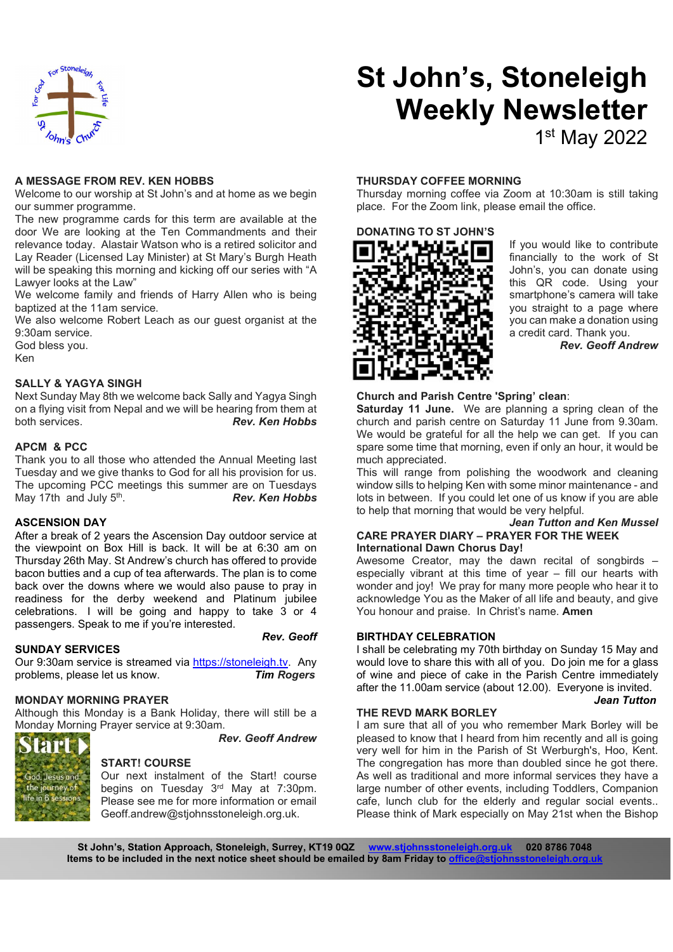

# St John's, Stoneleigh Weekly Newsletter

## 1 st May 2022

#### A MESSAGE FROM REV. KEN HOBBS

Welcome to our worship at St John's and at home as we begin our summer programme.

The new programme cards for this term are available at the door We are looking at the Ten Commandments and their relevance today. Alastair Watson who is a retired solicitor and Lay Reader (Licensed Lay Minister) at St Mary's Burgh Heath will be speaking this morning and kicking off our series with "A Lawyer looks at the Law"

We welcome family and friends of Harry Allen who is being baptized at the 11am service.

We also welcome Robert Leach as our guest organist at the 9:30am service.

God bless you.

Ken

#### SALLY & YAGYA SINGH

Next Sunday May 8th we welcome back Sally and Yagya Singh on a flying visit from Nepal and we will be hearing from them at both services. The contract of the Rev. Ken Hobbs

#### APCM & PCC

Thank you to all those who attended the Annual Meeting last Tuesday and we give thanks to God for all his provision for us. The upcoming PCC meetings this summer are on Tuesdays May 17th and July 5<sup>th</sup>. . Rev. Ken Hobbs

#### ASCENSION DAY

After a break of 2 years the Ascension Day outdoor service at the viewpoint on Box Hill is back. It will be at 6:30 am on Thursday 26th May. St Andrew's church has offered to provide bacon butties and a cup of tea afterwards. The plan is to come back over the downs where we would also pause to pray in readiness for the derby weekend and Platinum jubilee celebrations. I will be going and happy to take 3 or 4 passengers. Speak to me if you're interested.

#### SUNDAY SERVICES

**PPI** 

d. Jesus and the journey of<br>life in 6 session:

Our 9:30am service is streamed via https://stoneleigh.tv. Any problems, please let us know. Tim Rogers

## MONDAY MORNING PRAYER

Although this Monday is a Bank Holiday, there will still be a Monday Morning Prayer service at 9:30am.

Rev. Geoff Andrew

## START! COURSE

Our next instalment of the Start! course begins on Tuesday 3rd May at 7:30pm. Please see me for more information or email Geoff.andrew@stjohnsstoneleigh.org.uk.

## THURSDAY COFFEE MORNING

Thursday morning coffee via Zoom at 10:30am is still taking place. For the Zoom link, please email the office.



If you would like to contribute financially to the work of St John's, you can donate using this QR code. Using your smartphone's camera will take you straight to a page where you can make a donation using a credit card. Thank you.

Rev. Geoff Andrew

#### Church and Parish Centre 'Spring' clean:

Saturday 11 June. We are planning a spring clean of the church and parish centre on Saturday 11 June from 9.30am. We would be grateful for all the help we can get. If you can spare some time that morning, even if only an hour, it would be much appreciated.

This will range from polishing the woodwork and cleaning window sills to helping Ken with some minor maintenance - and lots in between. If you could let one of us know if you are able to help that morning that would be very helpful.

#### Jean Tutton and Ken Mussel CARE PRAYER DIARY – PRAYER FOR THE WEEK International Dawn Chorus Day!

Awesome Creator, may the dawn recital of songbirds – especially vibrant at this time of year – fill our hearts with wonder and joy! We pray for many more people who hear it to acknowledge You as the Maker of all life and beauty, and give You honour and praise. In Christ's name. Amen

#### Rev. Geoff BIRTHDAY CELEBRATION

I shall be celebrating my 70th birthday on Sunday 15 May and would love to share this with all of you. Do join me for a glass of wine and piece of cake in the Parish Centre immediately after the 11.00am service (about 12.00). Everyone is invited.

#### THE REVD MARK BORLEY

#### Jean Tutton

I am sure that all of you who remember Mark Borley will be pleased to know that I heard from him recently and all is going very well for him in the Parish of St Werburgh's, Hoo, Kent. The congregation has more than doubled since he got there. As well as traditional and more informal services they have a large number of other events, including Toddlers, Companion cafe, lunch club for the elderly and regular social events.. Please think of Mark especially on May 21st when the Bishop

St John's, Station Approach, Stoneleigh, Surrey, KT19 0QZ www.stjohnsstoneleigh.org.uk 020 8786 7048 Items to be included in the next notice sheet should be emailed by 8am Friday to office@stjohns